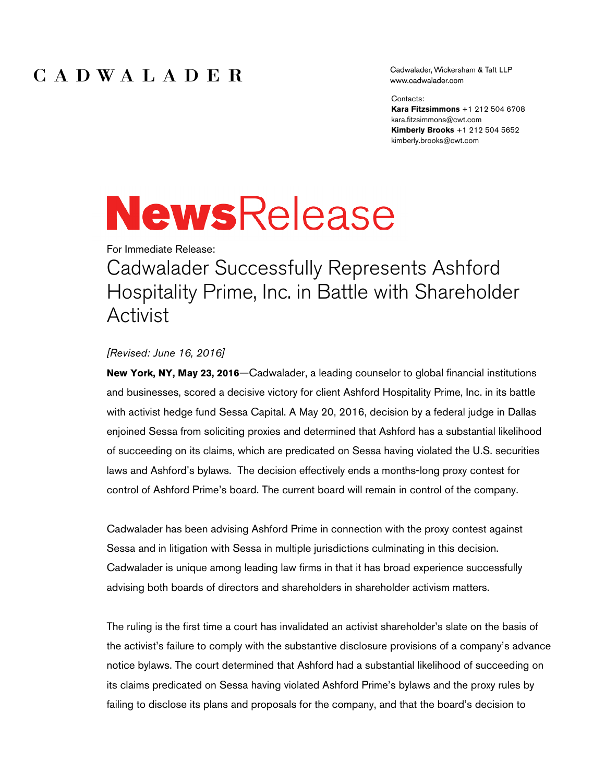### CADWALADER

Cadwalader, Wickersham & Taft LLP www.cadwalader.com

Contacts:

**Kara Fitzsimmons** +1 212 504 6708 kara.fitzsimmons@cwt.com **Kimberly Brooks** +1 212 504 5652 kimberly.brooks@cwt.com

# **NewsRelease**

For Immediate Release:

Cadwalader Successfully Represents Ashford Hospitality Prime, Inc. in Battle with Shareholder Activist

#### *[Revised: June 16, 2016]*

**New York, NY, May 23, 2016**—Cadwalader, a leading counselor to global financial institutions and businesses, scored a decisive victory for client Ashford Hospitality Prime, Inc. in its battle with activist hedge fund Sessa Capital. A May 20, 2016, decision by a federal judge in Dallas enjoined Sessa from soliciting proxies and determined that Ashford has a substantial likelihood of succeeding on its claims, which are predicated on Sessa having violated the U.S. securities laws and Ashford's bylaws. The decision effectively ends a months-long proxy contest for control of Ashford Prime's board. The current board will remain in control of the company.

Cadwalader has been advising Ashford Prime in connection with the proxy contest against Sessa and in litigation with Sessa in multiple jurisdictions culminating in this decision. Cadwalader is unique among leading law firms in that it has broad experience successfully advising both boards of directors and shareholders in shareholder activism matters.

The ruling is the first time a court has invalidated an activist shareholder's slate on the basis of the activist's failure to comply with the substantive disclosure provisions of a company's advance notice bylaws. The court determined that Ashford had a substantial likelihood of succeeding on its claims predicated on Sessa having violated Ashford Prime's bylaws and the proxy rules by failing to disclose its plans and proposals for the company, and that the board's decision to